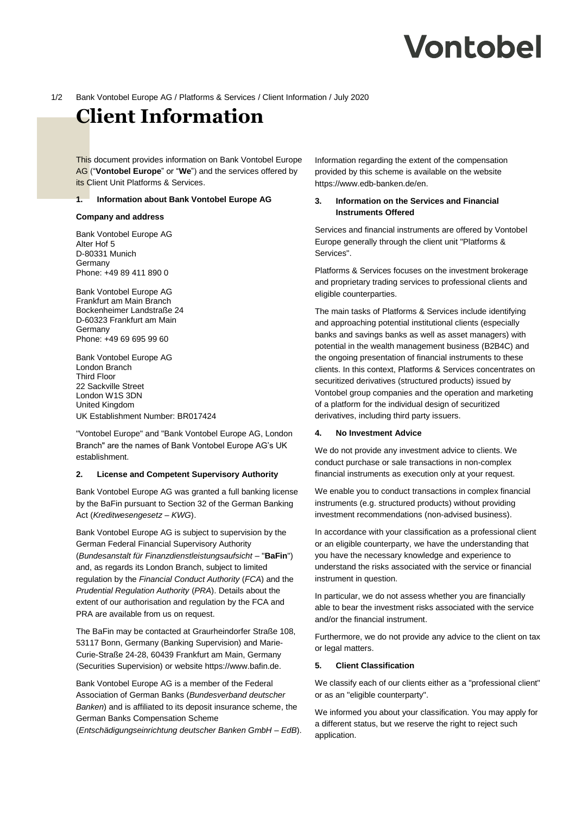# Vontobel

#### 1/2 Bank Vontobel Europe AG / Platforms & Services / Client Information / July 2020

# **Client Information**

This document provides information on Bank Vontobel Europe AG ("**Vontobel Europe**" or "**We**") and the services offered by its Client Unit Platforms & Services.

# **1. Information about Bank Vontobel Europe AG**

#### **Company and address**

Bank Vontobel Europe AG Alter Hof 5 D-80331 Munich **Germany** Phone: +49 89 411 890 0

Bank Vontobel Europe AG Frankfurt am Main Branch Bockenheimer Landstraße 24 D-60323 Frankfurt am Main Germany Phone: +49 69 695 99 60

Bank Vontobel Europe AG London Branch Third Floor 22 Sackville Street London W1S 3DN United Kingdom UK Establishment Number: BR017424

"Vontobel Europe" and "Bank Vontobel Europe AG, London Branch" are the names of Bank Vontobel Europe AG's UK establishment.

#### **2. License and Competent Supervisory Authority**

Bank Vontobel Europe AG was granted a full banking license by the BaFin pursuant to Section 32 of the German Banking Act (*Kreditwesengesetz* – *KWG*).

Bank Vontobel Europe AG is subject to supervision by the German Federal Financial Supervisory Authority (*Bundesanstalt für Finanzdienstleistungsaufsicht* – "**BaFin**") and, as regards its London Branch, subject to limited regulation by the *Financial Conduct Authority* (*FCA*) and the *Prudential Regulation Authority* (*PRA*). Details about the extent of our authorisation and regulation by the FCA and PRA are available from us on request.

The BaFin may be contacted at Graurheindorfer Straße 108, 53117 Bonn, Germany (Banking Supervision) and Marie-Curie-Straße 24-28, 60439 Frankfurt am Main, Germany (Securities Supervision) or website https://www.bafin.de.

Bank Vontobel Europe AG is a member of the Federal Association of German Banks (*Bundesverband deutscher Banken*) and is affiliated to its deposit insurance scheme, the German Banks Compensation Scheme

(*Entschädigungseinrichtung deutscher Banken GmbH – EdB*).

Information regarding the extent of the compensation provided by this scheme is available on the website https://www.edb-banken.de/en.

# **3. Information on the Services and Financial Instruments Offered**

Services and financial instruments are offered by Vontobel Europe generally through the client unit "Platforms & Services".

Platforms & Services focuses on the investment brokerage and proprietary trading services to professional clients and eligible counterparties.

The main tasks of Platforms & Services include identifying and approaching potential institutional clients (especially banks and savings banks as well as asset managers) with potential in the wealth management business (B2B4C) and the ongoing presentation of financial instruments to these clients. In this context, Platforms & Services concentrates on securitized derivatives (structured products) issued by Vontobel group companies and the operation and marketing of a platform for the individual design of securitized derivatives, including third party issuers.

# **4. No Investment Advice**

We do not provide any investment advice to clients. We conduct purchase or sale transactions in non-complex financial instruments as execution only at your request.

We enable you to conduct transactions in complex financial instruments (e.g. structured products) without providing investment recommendations (non-advised business).

In accordance with your classification as a professional client or an eligible counterparty, we have the understanding that you have the necessary knowledge and experience to understand the risks associated with the service or financial instrument in question.

In particular, we do not assess whether you are financially able to bear the investment risks associated with the service and/or the financial instrument.

Furthermore, we do not provide any advice to the client on tax or legal matters.

#### **5. Client Classification**

We classify each of our clients either as a "professional client" or as an "eligible counterparty".

We informed you about your classification. You may apply for a different status, but we reserve the right to reject such application.